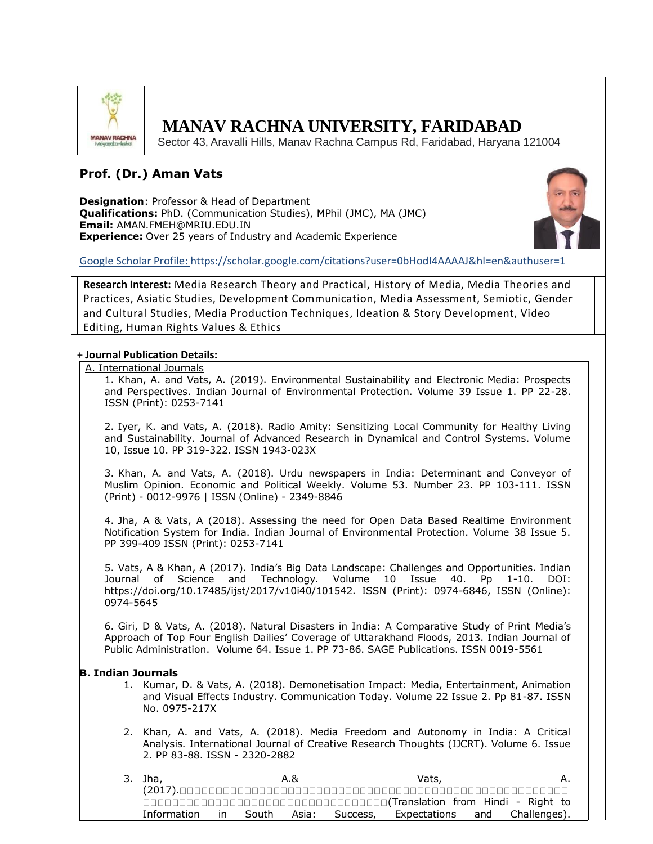

# **MANAV RACHNA UNIVERSITY, FARIDABAD**

Sector 43, Aravalli Hills, Manav Rachna Campus Rd, Faridabad, Haryana 121004

# **Prof. (Dr.) Aman Vats**

**Designation**: Professor & Head of Department **Qualifications:** PhD. (Communication Studies), MPhil (JMC), MA (JMC) **Email:** AMAN.FMEH@MRIU.EDU.IN **Experience:** Over 25 years of Industry and Academic Experience



Google Scholar Profile: https://scholar.google.com/citations?user=0bHodI4AAAAJ&hl=en&authuser=1

**Research Interest:** Media Research Theory and Practical, History of Media, Media Theories and Practices, Asiatic Studies, Development Communication, Media Assessment, Semiotic, Gender and Cultural Studies, Media Production Techniques, Ideation & Story Development, Video Editing, Human Rights Values & Ethics

## + **Journal Publication Details:**

#### A. International Journals

1. Khan, A. and Vats, A. (2019). Environmental Sustainability and Electronic Media: Prospects and Perspectives. Indian Journal of Environmental Protection. Volume 39 Issue 1. PP 22-28. ISSN (Print): 0253-7141

2. Iyer, K. and Vats, A. (2018). Radio Amity: Sensitizing Local Community for Healthy Living and Sustainability. Journal of Advanced Research in Dynamical and Control Systems. Volume 10, Issue 10. PP 319-322. ISSN 1943-023X

3. Khan, A. and Vats, A. (2018). Urdu newspapers in India: Determinant and Conveyor of Muslim Opinion. Economic and Political Weekly. Volume 53. Number 23. PP 103-111. ISSN (Print) - 0012-9976 | ISSN (Online) - 2349-8846

4. Jha, A & Vats, A (2018). Assessing the need for Open Data Based Realtime Environment Notification System for India. Indian Journal of Environmental Protection. Volume 38 Issue 5. PP 399-409 ISSN (Print): 0253-7141

5. Vats, A & Khan, A (2017). India's Big Data Landscape: Challenges and Opportunities. Indian Journal of Science and Technology. Volume 10 Issue 40. Pp 1-10. DOI: https://doi.org/10.17485/ijst/2017/v10i40/101542. ISSN (Print): 0974-6846, ISSN (Online): 0974-5645

6. Giri, D & Vats, A. (2018). Natural Disasters in India: A Comparative Study of Print Media's Approach of Top Four English Dailies' Coverage of Uttarakhand Floods, 2013. Indian Journal of Public Administration. Volume 64. Issue 1. PP 73-86. SAGE Publications. ISSN 0019-5561

## **B. Indian Journals**

- 1. Kumar, D. & Vats, A. (2018). Demonetisation Impact: Media, Entertainment, Animation and Visual Effects Industry. Communication Today. Volume 22 Issue 2. Pp 81-87. ISSN No. 0975-217X
- 2. Khan, A. and Vats, A. (2018). Media Freedom and Autonomy in India: A Critical Analysis. International Journal of Creative Research Thoughts (IJCRT). Volume 6. Issue 2. PP 83-88. ISSN - 2320-2882

| 3. Jha,     |       |       | A.& | Vats,                                        |  |
|-------------|-------|-------|-----|----------------------------------------------|--|
|             |       |       |     |                                              |  |
|             |       |       |     |                                              |  |
| Information | in in | South |     | Asia: Success, Expectations and Challenges). |  |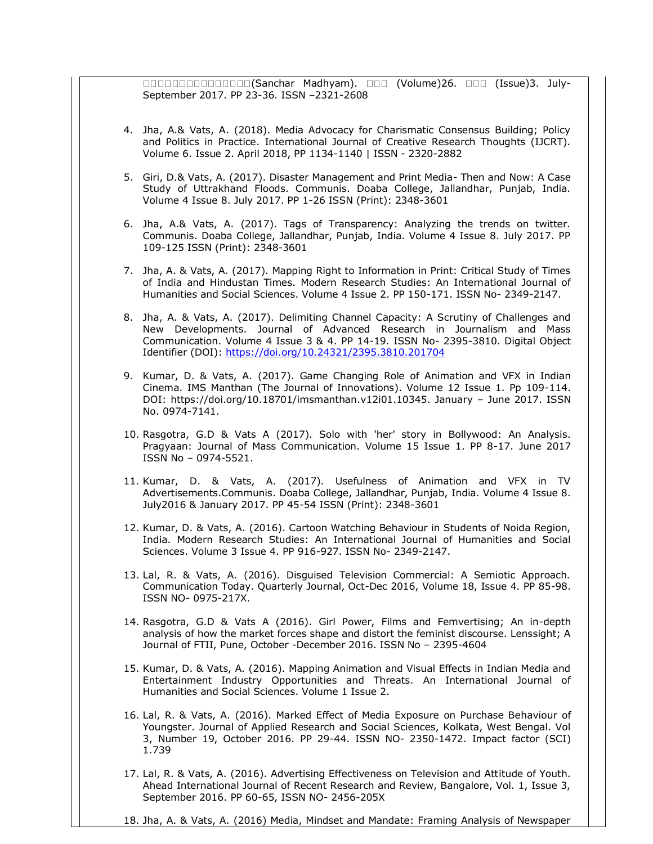(Sanchar Madhyam). (Volume)26. (Issue)3. July-September 2017. PP 23-36. ISSN –2321-2608

- 4. Jha, A.& Vats, A. (2018). Media Advocacy for Charismatic Consensus Building; Policy and Politics in Practice. International Journal of Creative Research Thoughts (IJCRT). Volume 6. Issue 2. April 2018, PP 1134-1140 | ISSN - 2320-2882
- 5. Giri, D.& Vats, A. (2017). Disaster Management and Print Media- Then and Now: A Case Study of Uttrakhand Floods. Communis. Doaba College, Jallandhar, Punjab, India. Volume 4 Issue 8. July 2017. PP 1-26 ISSN (Print): 2348-3601
- 6. Jha, A.& Vats, A. (2017). Tags of Transparency: Analyzing the trends on twitter. Communis. Doaba College, Jallandhar, Punjab, India. Volume 4 Issue 8. July 2017. PP 109-125 ISSN (Print): 2348-3601
- 7. Jha, A. & Vats, A. (2017). Mapping Right to Information in Print: Critical Study of Times of India and Hindustan Times. Modern Research Studies: An International Journal of Humanities and Social Sciences. Volume 4 Issue 2. PP 150-171. ISSN No- 2349-2147.
- 8. Jha, A. & Vats, A. (2017). Delimiting Channel Capacity: A Scrutiny of Challenges and New Developments. Journal of Advanced Research in Journalism and Mass Communication. Volume 4 Issue 3 & 4. PP 14-19. ISSN No- 2395-3810. Digital Object Identifier (DOI):<https://doi.org/10.24321/2395.3810.201704>
- 9. Kumar, D. & Vats, A. (2017). Game Changing Role of Animation and VFX in Indian Cinema. IMS Manthan (The Journal of Innovations). Volume 12 Issue 1. Pp 109-114. DOI: https://doi.org/10.18701/imsmanthan.v12i01.10345. January – June 2017. ISSN No. 0974-7141.
- 10. Rasgotra, G.D & Vats A (2017). Solo with 'her' story in Bollywood: An Analysis. Pragyaan: Journal of Mass Communication. Volume 15 Issue 1. PP 8-17. June 2017 ISSN No – 0974-5521.
- 11. Kumar, D. & Vats, A. (2017). Usefulness of Animation and VFX in TV Advertisements.Communis. Doaba College, Jallandhar, Punjab, India. Volume 4 Issue 8. July2016 & January 2017. PP 45-54 ISSN (Print): 2348-3601
- 12. Kumar, D. & Vats, A. (2016). Cartoon Watching Behaviour in Students of Noida Region, India. Modern Research Studies: An International Journal of Humanities and Social Sciences. Volume 3 Issue 4. PP 916-927. ISSN No- 2349-2147.
- 13. Lal, R. & Vats, A. (2016). Disguised Television Commercial: A Semiotic Approach. Communication Today. Quarterly Journal, Oct-Dec 2016, Volume 18, Issue 4. PP 85-98. ISSN NO- 0975-217X.
- 14. Rasgotra, G.D & Vats A (2016). Girl Power, Films and Femvertising; An in-depth analysis of how the market forces shape and distort the feminist discourse. Lenssight; A Journal of FTII, Pune, October -December 2016. ISSN No – 2395-4604
- 15. Kumar, D. & Vats, A. (2016). Mapping Animation and Visual Effects in Indian Media and Entertainment Industry Opportunities and Threats. An International Journal of Humanities and Social Sciences. Volume 1 Issue 2.
- 16. Lal, R. & Vats, A. (2016). Marked Effect of Media Exposure on Purchase Behaviour of Youngster. Journal of Applied Research and Social Sciences, Kolkata, West Bengal. Vol 3, Number 19, October 2016. PP 29-44. ISSN NO- 2350-1472. Impact factor (SCI) 1.739
- 17. Lal, R. & Vats, A. (2016). Advertising Effectiveness on Television and Attitude of Youth. Ahead International Journal of Recent Research and Review, Bangalore, Vol. 1, Issue 3, September 2016. PP 60-65, ISSN NO- 2456-205X
- 18. Jha, A. & Vats, A. (2016) Media, Mindset and Mandate: Framing Analysis of Newspaper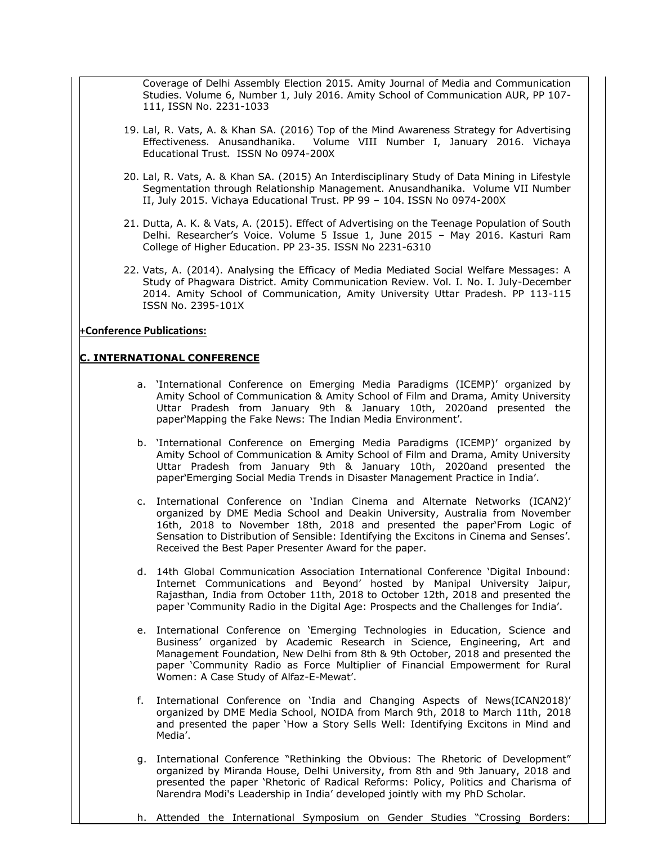Coverage of Delhi Assembly Election 2015. Amity Journal of Media and Communication Studies. Volume 6, Number 1, July 2016. Amity School of Communication AUR, PP 107- 111, ISSN No. 2231-1033

- 19. Lal, R. Vats, A. & Khan SA. (2016) Top of the Mind Awareness Strategy for Advertising Effectiveness. Anusandhanika. Volume VIII Number I, January 2016. Vichaya Educational Trust. ISSN No 0974-200X
- 20. Lal, R. Vats, A. & Khan SA. (2015) An Interdisciplinary Study of Data Mining in Lifestyle Segmentation through Relationship Management. Anusandhanika. Volume VII Number II, July 2015. Vichaya Educational Trust. PP 99 – 104. ISSN No 0974-200X
- 21. Dutta, A. K. & Vats, A. (2015). Effect of Advertising on the Teenage Population of South Delhi. Researcher's Voice. Volume 5 Issue 1, June 2015 – May 2016. Kasturi Ram College of Higher Education. PP 23-35. ISSN No 2231-6310
- 22. Vats, A. (2014). Analysing the Efficacy of Media Mediated Social Welfare Messages: A Study of Phagwara District. Amity Communication Review. Vol. I. No. I. July-December 2014. Amity School of Communication, Amity University Uttar Pradesh. PP 113-115 ISSN No. 2395-101X

#### +**Conference Publications:**

#### **C. INTERNATIONAL CONFERENCE**

- a. 'International Conference on Emerging Media Paradigms (ICEMP)' organized by Amity School of Communication & Amity School of Film and Drama, Amity University Uttar Pradesh from January 9th & January 10th, 2020and presented the paper'Mapping the Fake News: The Indian Media Environment'.
- b. 'International Conference on Emerging Media Paradigms (ICEMP)' organized by Amity School of Communication & Amity School of Film and Drama, Amity University Uttar Pradesh from January 9th & January 10th, 2020and presented the paper'Emerging Social Media Trends in Disaster Management Practice in India'.
- c. International Conference on 'Indian Cinema and Alternate Networks (ICAN2)' organized by DME Media School and Deakin University, Australia from November 16th, 2018 to November 18th, 2018 and presented the paper'From Logic of Sensation to Distribution of Sensible: Identifying the Excitons in Cinema and Senses'. Received the Best Paper Presenter Award for the paper.
- d. 14th Global Communication Association International Conference 'Digital Inbound: Internet Communications and Beyond' hosted by Manipal University Jaipur, Rajasthan, India from October 11th, 2018 to October 12th, 2018 and presented the paper 'Community Radio in the Digital Age: Prospects and the Challenges for India'.
- e. International Conference on 'Emerging Technologies in Education, Science and Business' organized by Academic Research in Science, Engineering, Art and Management Foundation, New Delhi from 8th & 9th October, 2018 and presented the paper 'Community Radio as Force Multiplier of Financial Empowerment for Rural Women: A Case Study of Alfaz-E-Mewat'.
- f. International Conference on 'India and Changing Aspects of News(ICAN2018)' organized by DME Media School, NOIDA from March 9th, 2018 to March 11th, 2018 and presented the paper 'How a Story Sells Well: Identifying Excitons in Mind and Media'.
- g. International Conference "Rethinking the Obvious: The Rhetoric of Development" organized by Miranda House, Delhi University, from 8th and 9th January, 2018 and presented the paper 'Rhetoric of Radical Reforms: Policy, Politics and Charisma of Narendra Modi's Leadership in India' developed jointly with my PhD Scholar.
- h. Attended the International Symposium on Gender Studies "Crossing Borders: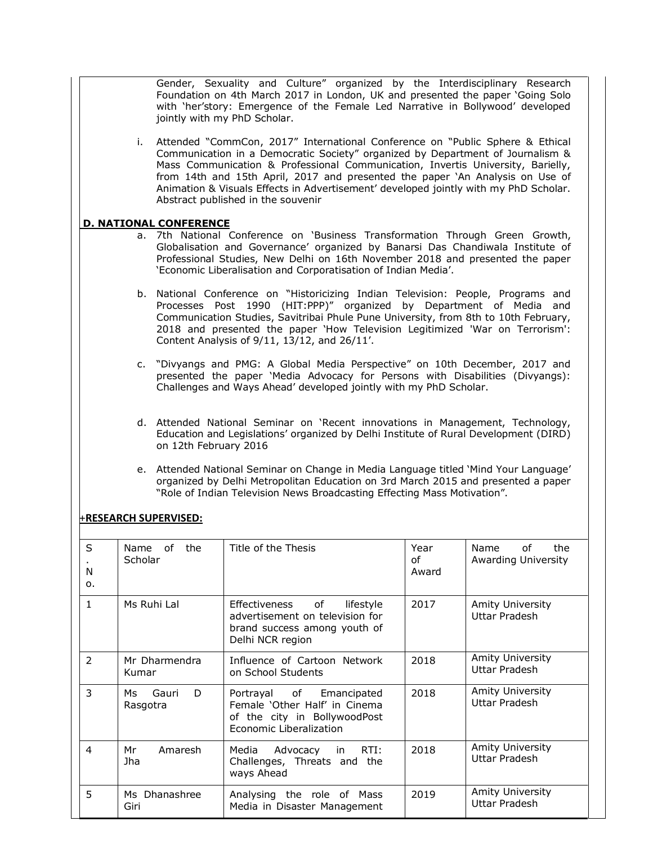Gender, Sexuality and Culture" organized by the Interdisciplinary Research Foundation on 4th March 2017 in London, UK and presented the paper 'Going Solo with 'her'story: Emergence of the Female Led Narrative in Bollywood' developed jointly with my PhD Scholar.

i. Attended "CommCon, 2017" International Conference on "Public Sphere & Ethical Communication in a Democratic Society" organized by Department of Journalism & Mass Communication & Professional Communication, Invertis University, Barielly, from 14th and 15th April, 2017 and presented the paper 'An Analysis on Use of Animation & Visuals Effects in Advertisement' developed jointly with my PhD Scholar. Abstract published in the souvenir

#### **D. NATIONAL CONFERENCE**

- a. 7th National Conference on 'Business Transformation Through Green Growth, Globalisation and Governance' organized by Banarsi Das Chandiwala Institute of Professional Studies, New Delhi on 16th November 2018 and presented the paper 'Economic Liberalisation and Corporatisation of Indian Media'.
- b. National Conference on "Historicizing Indian Television: People, Programs and Processes Post 1990 (HIT:PPP)" organized by Department of Media and Communication Studies, Savitribai Phule Pune University, from 8th to 10th February, 2018 and presented the paper 'How Television Legitimized 'War on Terrorism': Content Analysis of 9/11, 13/12, and 26/11'.
- c. "Divyangs and PMG: A Global Media Perspective" on 10th December, 2017 and presented the paper 'Media Advocacy for Persons with Disabilities (Divyangs): Challenges and Ways Ahead' developed jointly with my PhD Scholar.
- d. Attended National Seminar on 'Recent innovations in Management, Technology, Education and Legislations' organized by Delhi Institute of Rural Development (DIRD) on 12th February 2016
- e. Attended National Seminar on Change in Media Language titled 'Mind Your Language' organized by Delhi Metropolitan Education on 3rd March 2015 and presented a paper "Role of Indian Television News Broadcasting Effecting Mass Motivation".

## +**RESEARCH SUPERVISED:**

| S<br>N<br>0.  | Name of<br>the<br>Scholar     | Title of the Thesis                                                                                                  | Year<br>of<br>Award | the<br>Name<br>of<br><b>Awarding University</b> |
|---------------|-------------------------------|----------------------------------------------------------------------------------------------------------------------|---------------------|-------------------------------------------------|
| $\mathbf{1}$  | Ms Ruhi Lal                   | Effectiveness of<br>lifestyle<br>advertisement on television for<br>brand success among youth of<br>Delhi NCR region | 2017                | <b>Amity University</b><br>Uttar Pradesh        |
| $\mathcal{P}$ | Mr Dharmendra<br>Kumar        | Influence of Cartoon Network<br>on School Students                                                                   | 2018                | Amity University<br>Uttar Pradesh               |
| 3             | D<br>Gauri<br>Ms.<br>Rasgotra | Portrayal of Emancipated<br>Female 'Other Half' in Cinema<br>of the city in BollywoodPost<br>Economic Liberalization | 2018                | <b>Amity University</b><br>Uttar Pradesh        |
| 4             | Amaresh<br>Mr<br>Jha          | RTI:<br>Media<br>Advocacy<br>in<br>Challenges, Threats and<br>the<br>ways Ahead                                      | 2018                | Amity University<br>Uttar Pradesh               |
| 5.            | Ms Dhanashree<br>Giri         | Analysing the role of Mass<br>Media in Disaster Management                                                           | 2019                | <b>Amity University</b><br>Uttar Pradesh        |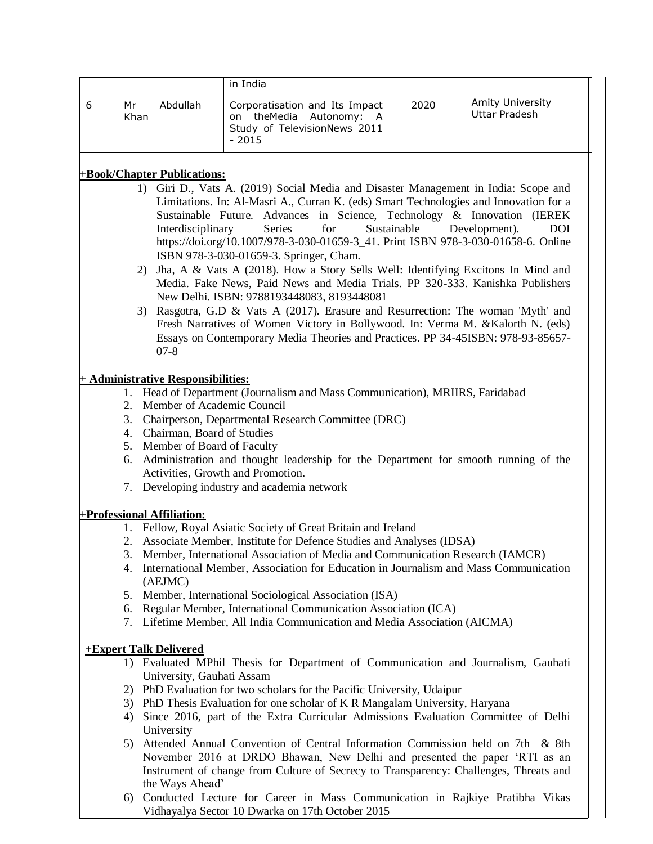|   |            |                                    | in India                                                                                                                                                                                                                                                                                                                                                                                                                                                                                                                                                                                                                                                                                                                                                                                                                                                                                           |      |                                          |
|---|------------|------------------------------------|----------------------------------------------------------------------------------------------------------------------------------------------------------------------------------------------------------------------------------------------------------------------------------------------------------------------------------------------------------------------------------------------------------------------------------------------------------------------------------------------------------------------------------------------------------------------------------------------------------------------------------------------------------------------------------------------------------------------------------------------------------------------------------------------------------------------------------------------------------------------------------------------------|------|------------------------------------------|
| 6 | Mr<br>Khan | Abdullah                           | Corporatisation and Its Impact<br>theMedia<br>Autonomy: A<br>on<br>Study of TelevisionNews 2011<br>$-2015$                                                                                                                                                                                                                                                                                                                                                                                                                                                                                                                                                                                                                                                                                                                                                                                         | 2020 | Amity University<br><b>Uttar Pradesh</b> |
|   |            | +Book/Chapter Publications:        |                                                                                                                                                                                                                                                                                                                                                                                                                                                                                                                                                                                                                                                                                                                                                                                                                                                                                                    |      |                                          |
|   | 1)<br>2)   | Interdisciplinary<br>$07 - 8$      | Giri D., Vats A. (2019) Social Media and Disaster Management in India: Scope and<br>Limitations. In: Al-Masri A., Curran K. (eds) Smart Technologies and Innovation for a<br>Sustainable Future. Advances in Science, Technology & Innovation (IEREK<br>Series<br>for<br>Sustainable<br>https://doi.org/10.1007/978-3-030-01659-3_41. Print ISBN 978-3-030-01658-6. Online<br>ISBN 978-3-030-01659-3. Springer, Cham.<br>Jha, A & Vats A (2018). How a Story Sells Well: Identifying Excitons In Mind and<br>Media. Fake News, Paid News and Media Trials. PP 320-333. Kanishka Publishers<br>New Delhi. ISBN: 9788193448083, 8193448081<br>3) Rasgotra, G.D & Vats A (2017). Erasure and Resurrection: The woman 'Myth' and<br>Fresh Narratives of Women Victory in Bollywood. In: Verma M. &Kalorth N. (eds)<br>Essays on Contemporary Media Theories and Practices. PP 34-45ISBN: 978-93-85657- |      | Development).<br><b>DOI</b>              |
|   |            | + Administrative Responsibilities: |                                                                                                                                                                                                                                                                                                                                                                                                                                                                                                                                                                                                                                                                                                                                                                                                                                                                                                    |      |                                          |
|   | 2.         | Member of Academic Council         | 1. Head of Department (Journalism and Mass Communication), MRIIRS, Faridabad                                                                                                                                                                                                                                                                                                                                                                                                                                                                                                                                                                                                                                                                                                                                                                                                                       |      |                                          |
|   | 3.         |                                    | Chairperson, Departmental Research Committee (DRC)                                                                                                                                                                                                                                                                                                                                                                                                                                                                                                                                                                                                                                                                                                                                                                                                                                                 |      |                                          |
|   |            | 4. Chairman, Board of Studies      |                                                                                                                                                                                                                                                                                                                                                                                                                                                                                                                                                                                                                                                                                                                                                                                                                                                                                                    |      |                                          |
|   |            | 5. Member of Board of Faculty      |                                                                                                                                                                                                                                                                                                                                                                                                                                                                                                                                                                                                                                                                                                                                                                                                                                                                                                    |      |                                          |
|   |            |                                    | 6. Administration and thought leadership for the Department for smooth running of the<br>Activities, Growth and Promotion.                                                                                                                                                                                                                                                                                                                                                                                                                                                                                                                                                                                                                                                                                                                                                                         |      |                                          |
|   |            |                                    | 7. Developing industry and academia network                                                                                                                                                                                                                                                                                                                                                                                                                                                                                                                                                                                                                                                                                                                                                                                                                                                        |      |                                          |

## **+Professional Affiliation:**

- 1. Fellow, Royal Asiatic Society of Great Britain and Ireland
- 2. Associate Member, Institute for Defence Studies and Analyses (IDSA)
- 3. Member, International Association of Media and Communication Research (IAMCR)
- 4. International Member, Association for Education in Journalism and Mass Communication (AEJMC)
- 5. Member, International Sociological Association (ISA)
- 6. Regular Member, International Communication Association (ICA)
- 7. Lifetime Member, All India Communication and Media Association (AICMA)

## **+Expert Talk Delivered**

- 1) Evaluated MPhil Thesis for Department of Communication and Journalism, Gauhati University, Gauhati Assam
- 2) PhD Evaluation for two scholars for the Pacific University, Udaipur
- 3) PhD Thesis Evaluation for one scholar of K R Mangalam University, Haryana
- 4) Since 2016, part of the Extra Curricular Admissions Evaluation Committee of Delhi University
- 5) Attended Annual Convention of Central Information Commission held on 7th & 8th November 2016 at DRDO Bhawan, New Delhi and presented the paper 'RTI as an Instrument of change from Culture of Secrecy to Transparency: Challenges, Threats and the Ways Ahead'
- 6) Conducted Lecture for Career in Mass Communication in Rajkiye Pratibha Vikas Vidhayalya Sector 10 Dwarka on 17th October 2015